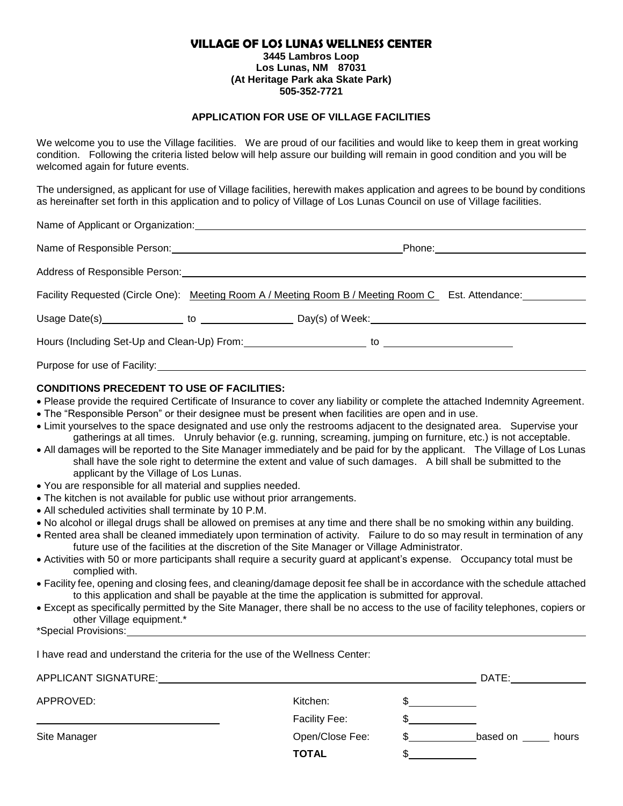# **VILLAGE OF LOS LUNAS WELLNESS CENTER**

**3445 Lambros Loop Los Lunas, NM 87031 (At Heritage Park aka Skate Park) 505-352-7721**

# **APPLICATION FOR USE OF VILLAGE FACILITIES**

We welcome you to use the Village facilities. We are proud of our facilities and would like to keep them in great working condition. Following the criteria listed below will help assure our building will remain in good condition and you will be welcomed again for future events.

The undersigned, as applicant for use of Village facilities, herewith makes application and agrees to be bound by conditions as hereinafter set forth in this application and to policy of Village of Los Lunas Council on use of Village facilities.

| $\frac{1}{2}$ |                                                                                                    |  |
|---------------|----------------------------------------------------------------------------------------------------|--|
|               |                                                                                                    |  |
|               |                                                                                                    |  |
|               | Facility Requested (Circle One): Meeting Room A / Meeting Room B / Meeting Room C Est. Attendance: |  |
|               |                                                                                                    |  |
|               |                                                                                                    |  |
|               | Purpose for use of Facility: Note that the set of the set of Facility:                             |  |

# **CONDITIONS PRECEDENT TO USE OF FACILITIES:**

Name of Applicant or Organization:

- Please provide the required Certificate of Insurance to cover any liability or complete the attached Indemnity Agreement.
- The "Responsible Person" or their designee must be present when facilities are open and in use.
- Limit yourselves to the space designated and use only the restrooms adjacent to the designated area. Supervise your gatherings at all times. Unruly behavior (e.g. running, screaming, jumping on furniture, etc.) is not acceptable.
- All damages will be reported to the Site Manager immediately and be paid for by the applicant. The Village of Los Lunas shall have the sole right to determine the extent and value of such damages. A bill shall be submitted to the applicant by the Village of Los Lunas.
- You are responsible for all material and supplies needed.
- The kitchen is not available for public use without prior arrangements.
- All scheduled activities shall terminate by 10 P.M.
- No alcohol or illegal drugs shall be allowed on premises at any time and there shall be no smoking within any building.
- Rented area shall be cleaned immediately upon termination of activity. Failure to do so may result in termination of any future use of the facilities at the discretion of the Site Manager or Village Administrator.
- Activities with 50 or more participants shall require a security guard at applicant's expense. Occupancy total must be complied with.
- Facility fee, opening and closing fees, and cleaning/damage deposit fee shall be in accordance with the schedule attached to this application and shall be payable at the time the application is submitted for approval.
- Except as specifically permitted by the Site Manager, there shall be no access to the use of facility telephones, copiers or other Village equipment.\*

\*Special Provisions:

I have read and understand the criteria for the use of the Wellness Center:

| APPLICANT SIGNATURE: |                 | DATE:    |       |
|----------------------|-----------------|----------|-------|
| APPROVED:            | Kitchen:        |          |       |
|                      | Facility Fee:   |          |       |
| Site Manager         | Open/Close Fee: | based on | hours |
|                      | <b>TOTAL</b>    |          |       |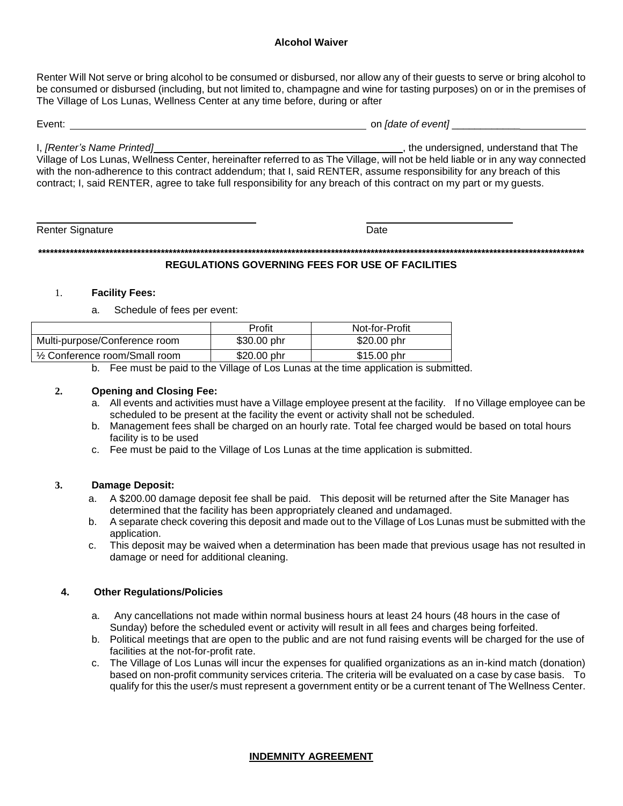Renter Will Not serve or bring alcohol to be consumed or disbursed, nor allow any of their guests to serve or bring alcohol to be consumed or disbursed (including, but not limited to, champagne and wine for tasting purposes) on or in the premises of The Village of Los Lunas, Wellness Center at any time before, during or after

| Event:                                                                                                                         | on <i>[date of event]</i>              |
|--------------------------------------------------------------------------------------------------------------------------------|----------------------------------------|
|                                                                                                                                |                                        |
| I, [Renter's Name Printed]                                                                                                     | , the undersigned, understand that The |
| Village of Los Lunas, Wellness Center, hereinafter referred to as The Village, will not be held liable or in any way connected |                                        |
| with the non-adherence to this contract addendum; that I, said RENTER, assume responsibility for any breach of this            |                                        |
| contract; I, said RENTER, agree to take full responsibility for any breach of this contract on my part or my quests.           |                                        |

Renter Signature

Date

### **REGULATIONS GOVERNING FEES FOR USE OF FACILITIES**

### **Facility Fees:** 1.

Schedule of fees per event: a.

|                                | Profit       | Not-for-Profit |
|--------------------------------|--------------|----------------|
| Multi-purpose/Conference room  | $$30.00$ phr | \$20.00 phr    |
| 1/2 Conference room/Small room | \$20,00 phr  | \$15.00 phr    |

b. Fee must be paid to the Village of Los Lunas at the time application is submitted.

### $2.$ **Opening and Closing Fee:**

- a. All events and activities must have a Village employee present at the facility. If no Village employee can be scheduled to be present at the facility the event or activity shall not be scheduled.
- b. Management fees shall be charged on an hourly rate. Total fee charged would be based on total hours facility is to be used
- c. Fee must be paid to the Village of Los Lunas at the time application is submitted.

### 3. **Damage Deposit:**

- A \$200.00 damage deposit fee shall be paid. This deposit will be returned after the Site Manager has a. determined that the facility has been appropriately cleaned and undamaged.
- A separate check covering this deposit and made out to the Village of Los Lunas must be submitted with the  $b<sub>1</sub>$ application.
- This deposit may be waived when a determination has been made that previous usage has not resulted in  $C_{\rm{c}}$ damage or need for additional cleaning.

#### $\overline{\mathbf{4}}$ . **Other Regulations/Policies**

- a. Any cancellations not made within normal business hours at least 24 hours (48 hours in the case of Sunday) before the scheduled event or activity will result in all fees and charges being forfeited.
- b. Political meetings that are open to the public and are not fund raising events will be charged for the use of facilities at the not-for-profit rate.
- c. The Village of Los Lunas will incur the expenses for qualified organizations as an in-kind match (donation) based on non-profit community services criteria. The criteria will be evaluated on a case by case basis. To qualify for this the user/s must represent a government entity or be a current tenant of The Wellness Center.

# **INDEMNITY AGREEMENT**